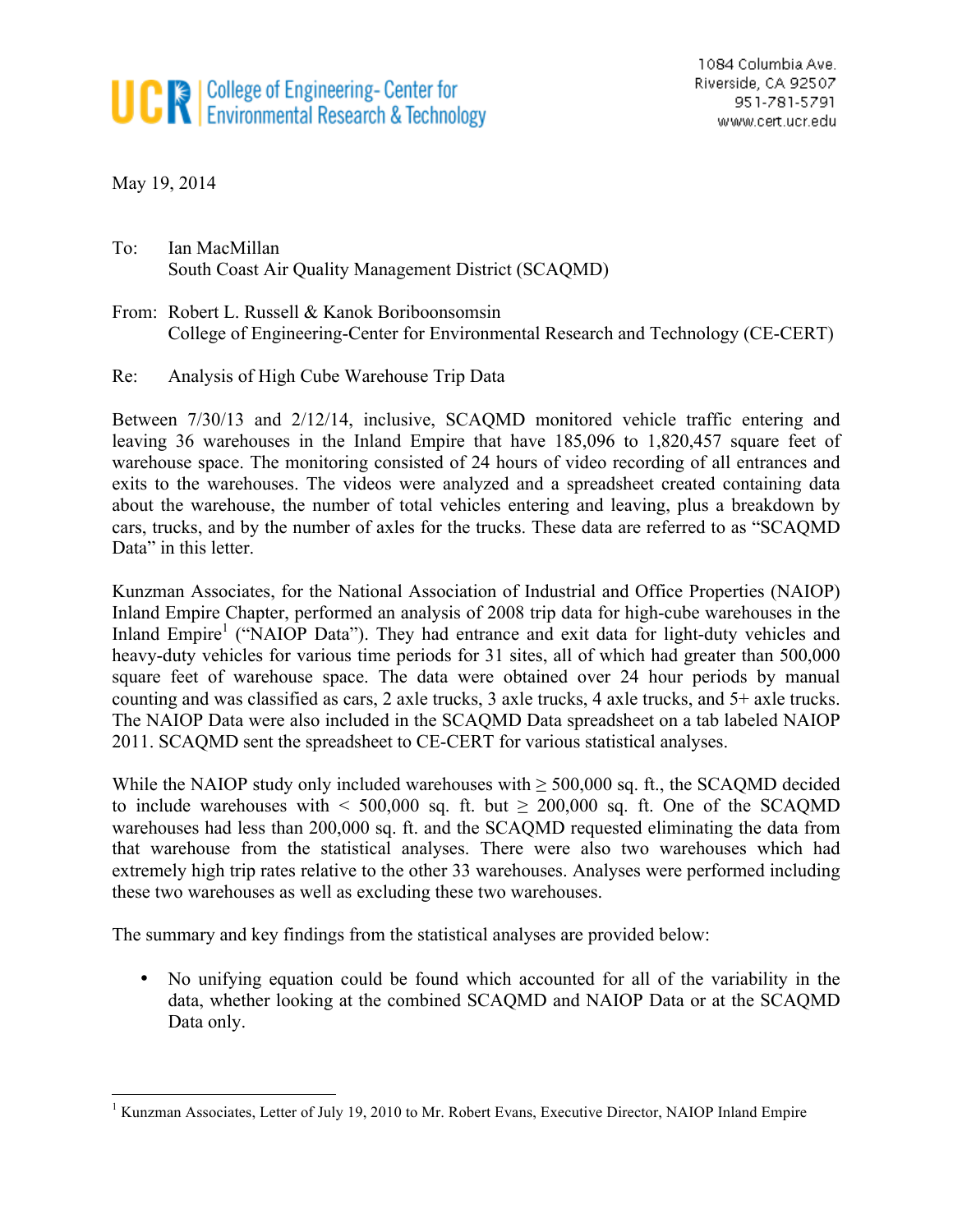## **UCR** College of Engineering- Center for<br>Environmental Research & Technology

May 19, 2014

To: Ian MacMillan South Coast Air Quality Management District (SCAQMD)

From: Robert L. Russell & Kanok Boriboonsomsin College of Engineering-Center for Environmental Research and Technology (CE-CERT)

## Re: Analysis of High Cube Warehouse Trip Data

Between 7/30/13 and 2/12/14, inclusive, SCAQMD monitored vehicle traffic entering and leaving 36 warehouses in the Inland Empire that have 185,096 to 1,820,457 square feet of warehouse space. The monitoring consisted of 24 hours of video recording of all entrances and exits to the warehouses. The videos were analyzed and a spreadsheet created containing data about the warehouse, the number of total vehicles entering and leaving, plus a breakdown by cars, trucks, and by the number of axles for the trucks. These data are referred to as "SCAQMD Data" in this letter.

Kunzman Associates, for the National Association of Industrial and Office Properties (NAIOP) Inland Empire Chapter, performed an analysis of 2008 trip data for high-cube warehouses in the Inland Empire<sup>1</sup> ("NAIOP Data"). They had entrance and exit data for light-duty vehicles and heavy-duty vehicles for various time periods for 31 sites, all of which had greater than 500,000 square feet of warehouse space. The data were obtained over 24 hour periods by manual counting and was classified as cars, 2 axle trucks, 3 axle trucks, 4 axle trucks, and 5+ axle trucks. The NAIOP Data were also included in the SCAQMD Data spreadsheet on a tab labeled NAIOP 2011. SCAQMD sent the spreadsheet to CE-CERT for various statistical analyses.

While the NAIOP study only included warehouses with  $\geq$  500,000 sq. ft., the SCAQMD decided to include warehouses with  $\leq 500,000$  sq. ft. but  $\geq 200,000$  sq. ft. One of the SCAQMD warehouses had less than 200,000 sq. ft. and the SCAQMD requested eliminating the data from that warehouse from the statistical analyses. There were also two warehouses which had extremely high trip rates relative to the other 33 warehouses. Analyses were performed including these two warehouses as well as excluding these two warehouses.

The summary and key findings from the statistical analyses are provided below:

• No unifying equation could be found which accounted for all of the variability in the data, whether looking at the combined SCAQMD and NAIOP Data or at the SCAQMD Data only.

<sup>&</sup>lt;sup>1</sup> Kunzman Associates, Letter of July 19, 2010 to Mr. Robert Evans, Executive Director, NAIOP Inland Empire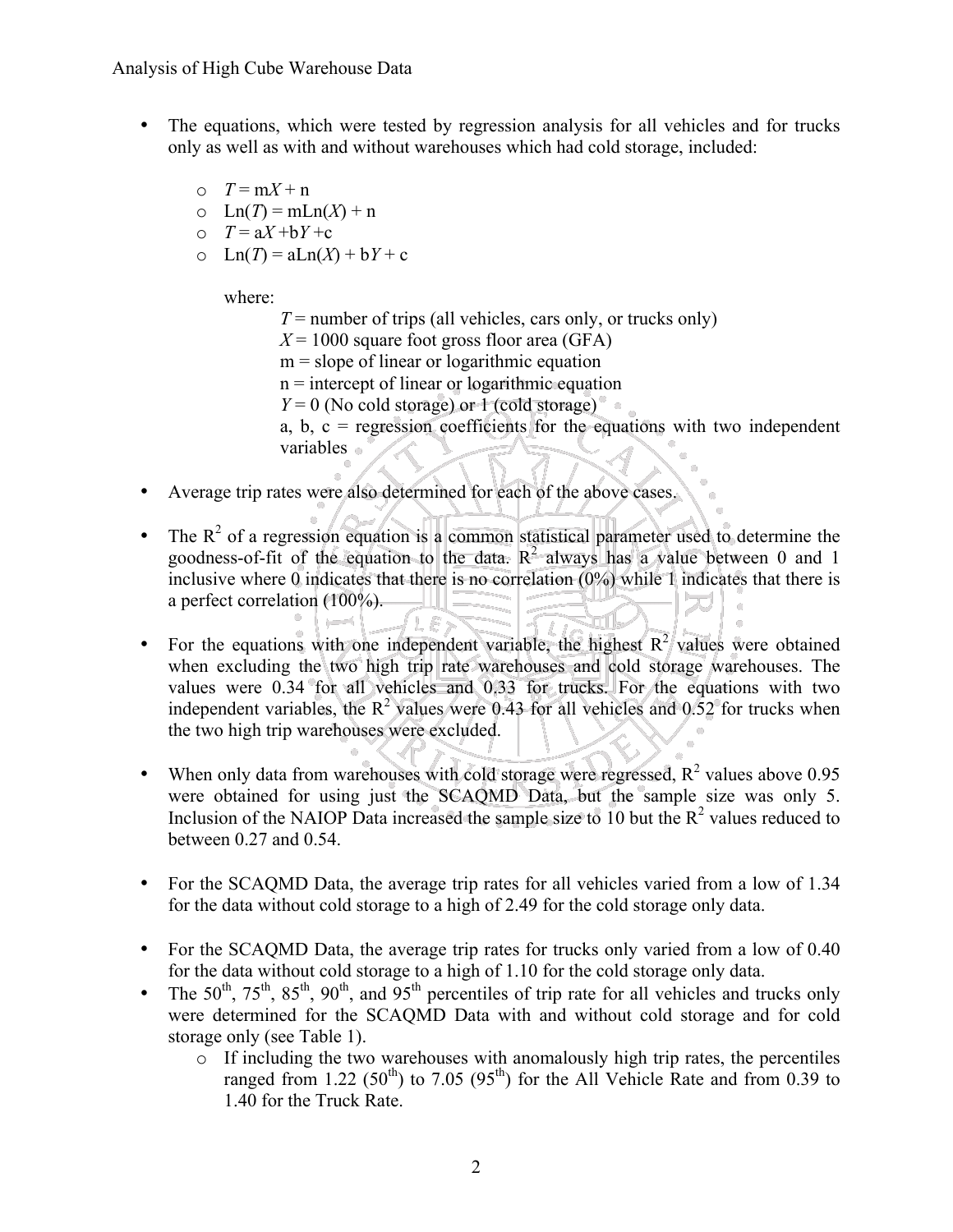- The equations, which were tested by regression analysis for all vehicles and for trucks only as well as with and without warehouses which had cold storage, included:
	- $\circ$   $T = mX + n$  $\circ$  Ln(*T*) = mLn(*X*) + n  $\circ$   $T = aX + bY + c$
	- $\text{Ln}(T) = \text{al} \text{Ln}(X) + \text{b} Y + \text{c}$

where:

- $T =$  number of trips (all vehicles, cars only, or trucks only)
- $X = 1000$  square foot gross floor area (GFA)
- $m =$  slope of linear or logarithmic equation
- $n =$  intercept of linear or logarithmic equation
- $Y = 0$  (No cold storage) or 1 (cold storage)

a, b,  $c =$  regression coefficients for the equations with two independent variables

Average trip rates were also determined for each of the above cases.

F

- The  $R^2$  of a regression equation is a common statistical parameter used to determine the goodness-of-fit of the equation to the data.  $R^2$  always has a value between 0 and 1 inclusive where 0 indicates that there is no correlation (0%) while 1 indicates that there is a perfect correlation (100%).
- For the equations with one independent variable, the highest  $R^2$  values were obtained when excluding the two high trip rate warehouses and cold storage warehouses. The values were 0.34 for all vehicles and 0.33 for trucks. For the equations with two independent variables, the  $R^2$  values were 0.43 for all vehicles and 0.52 for trucks when the two high trip warehouses were excluded.
- When only data from warehouses with cold storage were regressed,  $R^2$  values above 0.95 were obtained for using just the SCAQMD Data, but the sample size was only 5. Inclusion of the NAIOP Data increased the sample size to 10 but the  $R^2$  values reduced to between 0.27 and 0.54.
- For the SCAQMD Data, the average trip rates for all vehicles varied from a low of 1.34 for the data without cold storage to a high of 2.49 for the cold storage only data.
- For the SCAQMD Data, the average trip rates for trucks only varied from a low of 0.40 for the data without cold storage to a high of 1.10 for the cold storage only data.
- The  $50^{th}$ ,  $75^{th}$ ,  $85^{th}$ ,  $90^{th}$ , and  $95^{th}$  percentiles of trip rate for all vehicles and trucks only were determined for the SCAQMD Data with and without cold storage and for cold storage only (see Table 1).
	- o If including the two warehouses with anomalously high trip rates, the percentiles ranged from 1.22 (50<sup>th</sup>) to 7.05 (95<sup>th</sup>) for the All Vehicle Rate and from 0.39 to 1.40 for the Truck Rate.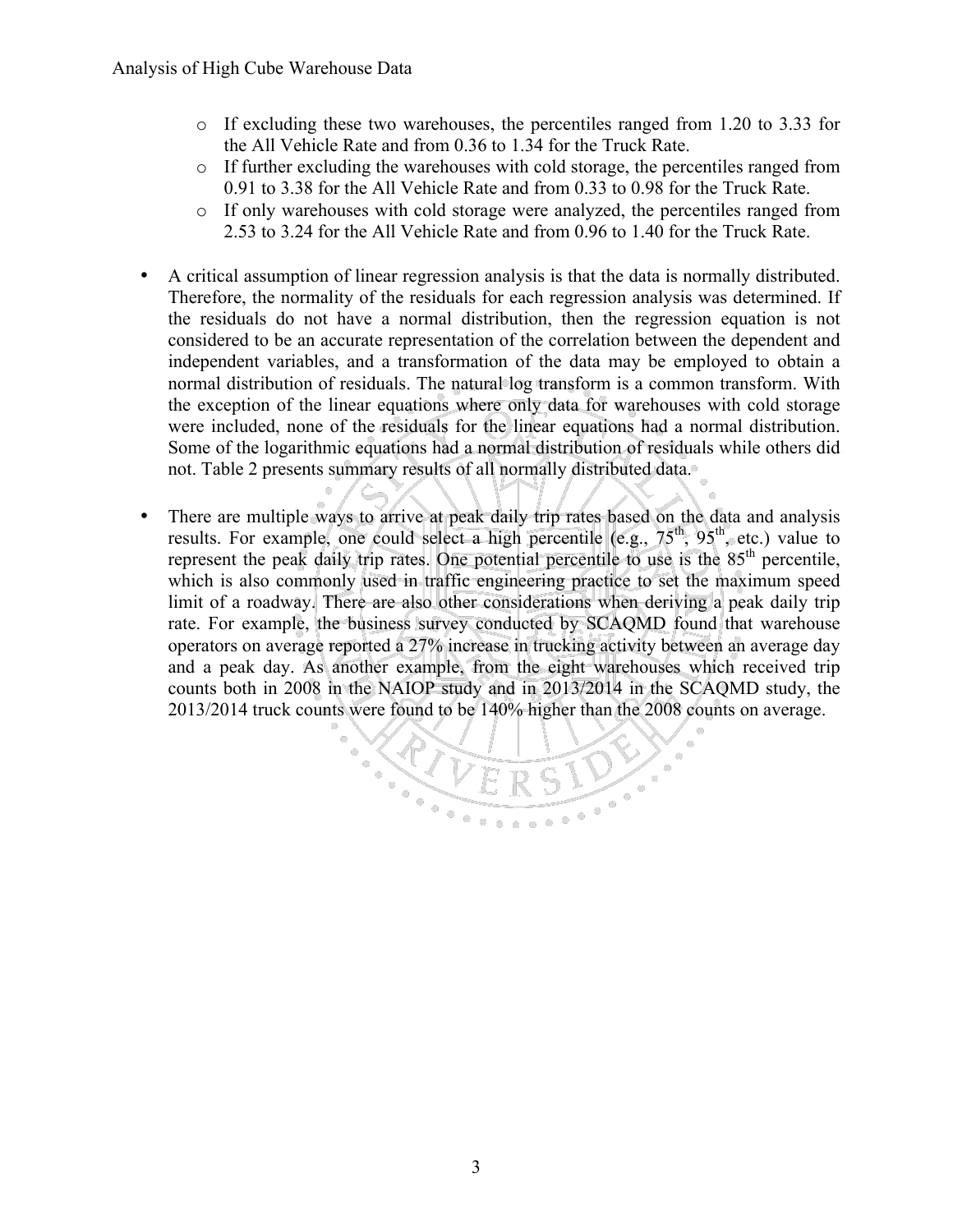- $\circ$  If excluding these two warehouses, the percentiles ranged from 1.20 to 3.33 for the All Vehicle Rate and from 0.36 to 1.34 for the Truck Rate.
- $\circ$  If further excluding the warehouses with cold storage, the percentiles ranged from 0.91 to 3.38 for the All Vehicle Rate and from 0.33 to 0.98 for the Truck Rate.
- o If only warehouses with cold storage were analyzed, the percentiles ranged from 2.53 to 3.24 for the All Vehicle Rate and from 0.96 to 1.40 for the Truck Rate.
- A critical assumption of linear regression analysis is that the data is normally distributed. Therefore, the normality of the residuals for each regression analysis was determined. If the residuals do not have a normal distribution, then the regression equation is not considered to be an accurate representation of the correlation between the dependent and independent variables, and a transformation of the data may be employed to obtain a normal distribution of residuals. The natural log transform is a common transform. With the exception of the linear equations where only data for warehouses with cold storage were included, none of the residuals for the linear equations had a normal distribution. Some of the logarithmic equations had a normal distribution of residuals while others did not. Table 2 presents summary results of all normally distributed data.
- There are multiple ways to arrive at peak daily trip rates based on the data and analysis results. For example, one could select a high percentile (e.g.,  $75<sup>th</sup>$ ,  $95<sup>th</sup>$ , etc.) value to represent the peak daily trip rates. One potential percentile to use is the 85<sup>th</sup> percentile, which is also commonly used in traffic engineering practice to set the maximum speed limit of a roadway. There are also other considerations when deriving a peak daily trip rate. For example, the business survey conducted by SCAQMD found that warehouse operators on average reported a 27% increase in trucking activity between an average day and a peak day. As another example, from the eight warehouses which received trip counts both in 2008 in the NAIOP study and in 2013/2014 in the SCAQMD study, the